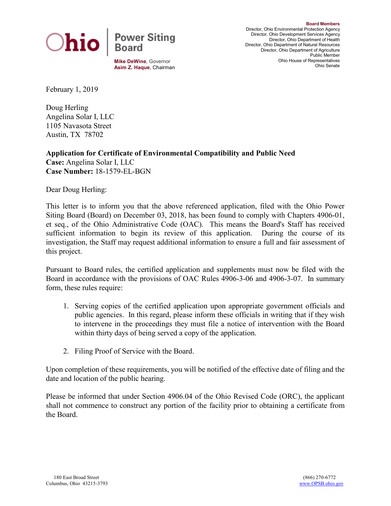

**Board Members** Director, Ohio Environmental Protection Agency Director, Ohio Development Services Agency Director, Ohio Department of Health Director, Ohio Department of Natural Resources Director, Ohio Department of Agriculture Public Member Ohio House of Representatives Ohio Senate

February 1, 2019

Doug Herling Angelina Solar I, LLC 1105 Navasota Street Austin, TX 78702

**Application for Certificate of Environmental Compatibility and Public Need Case:** Angelina Solar I, LLC **Case Number:** 18-1579-EL-BGN

Dear Doug Herling:

This letter is to inform you that the above referenced application, filed with the Ohio Power Siting Board (Board) on December 03, 2018, has been found to comply with Chapters 4906-01, et seq., of the Ohio Administrative Code (OAC). This means the Board's Staff has received sufficient information to begin its review of this application. During the course of its investigation, the Staff may request additional information to ensure a full and fair assessment of this project.

Pursuant to Board rules, the certified application and supplements must now be filed with the Board in accordance with the provisions of OAC Rules 4906-3-06 and 4906-3-07. In summary form, these rules require:

- 1. Serving copies of the certified application upon appropriate government officials and public agencies. In this regard, please inform these officials in writing that if they wish to intervene in the proceedings they must file a notice of intervention with the Board within thirty days of being served a copy of the application.
- 2. Filing Proof of Service with the Board.

Upon completion of these requirements, you will be notified of the effective date of filing and the date and location of the public hearing.

Please be informed that under Section 4906.04 of the Ohio Revised Code (ORC), the applicant shall not commence to construct any portion of the facility prior to obtaining a certificate from the Board.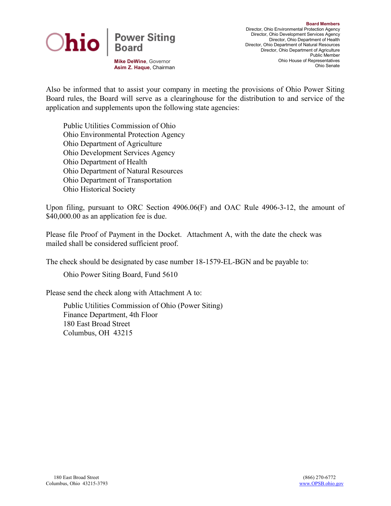

**Mike DeWine**, Governor **Asim Z. Haque**, Chairman

Also be informed that to assist your company in meeting the provisions of Ohio Power Siting Board rules, the Board will serve as a clearinghouse for the distribution to and service of the application and supplements upon the following state agencies:

Public Utilities Commission of Ohio Ohio Environmental Protection Agency Ohio Department of Agriculture Ohio Development Services Agency Ohio Department of Health Ohio Department of Natural Resources Ohio Department of Transportation Ohio Historical Society

Upon filing, pursuant to ORC Section 4906.06(F) and OAC Rule 4906-3-12, the amount of \$40,000.00 as an application fee is due.

Please file Proof of Payment in the Docket. Attachment A, with the date the check was mailed shall be considered sufficient proof.

The check should be designated by case number 18-1579-EL-BGN and be payable to:

Ohio Power Siting Board, Fund 5610

Please send the check along with Attachment A to:

Public Utilities Commission of Ohio (Power Siting) Finance Department, 4th Floor 180 East Broad Street Columbus, OH 43215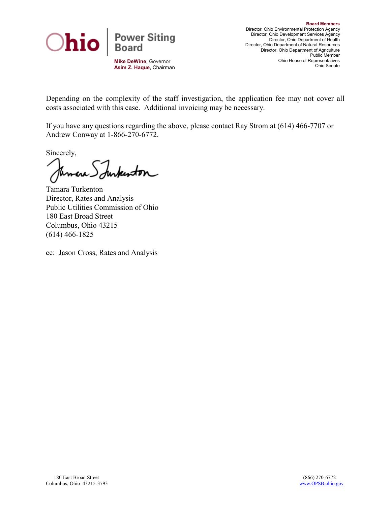

**Asim Z. Haque**, Chairman

Depending on the complexity of the staff investigation, the application fee may not cover all costs associated with this case. Additional invoicing may be necessary.

If you have any questions regarding the above, please contact Ray Strom at (614) 466-7707 or Andrew Conway at 1-866-270-6772.

Sincerely,

durkenton Temare\_

Tamara Turkenton Director, Rates and Analysis Public Utilities Commission of Ohio 180 East Broad Street Columbus, Ohio 43215 (614) 466-1825

cc: Jason Cross, Rates and Analysis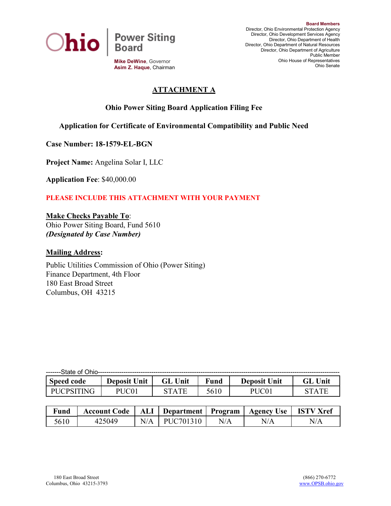

**Mike DeWine**, Governor **Asim Z. Haque**, Chairman

# **ATTACHMENT A**

## **Ohio Power Siting Board Application Filing Fee**

### **Application for Certificate of Environmental Compatibility and Public Need**

**Case Number: 18-1579-EL-BGN**

**Project Name:** Angelina Solar I, LLC

**Application Fee**: \$40,000.00

#### **PLEASE INCLUDE THIS ATTACHMENT WITH YOUR PAYMENT**

**Make Checks Payable To**:

Ohio Power Siting Board, Fund 5610 *(Designated by Case Number)*

#### **Mailing Address:**

Public Utilities Commission of Ohio (Power Siting) Finance Department, 4th Floor 180 East Broad Street Columbus, OH 43215

| -------State of Ohio-- |                     |              |             |                     |             |  |  |  |  |
|------------------------|---------------------|--------------|-------------|---------------------|-------------|--|--|--|--|
| <b>Speed code</b>      | <b>Deposit Unit</b> | Unit<br>GL   | <b>Fund</b> | <b>Deposit Unit</b> | Unit<br>'iL |  |  |  |  |
| 'INIC<br><b>PHCPSI</b> | PHC01               | <b>STATE</b> | 5610        |                     | 7T A T F    |  |  |  |  |

| <b>Fund</b> | <b>Account Code</b> | ALI | Department   Program |     | <b>Agency Use</b> | <b>ISTV Xref</b> |
|-------------|---------------------|-----|----------------------|-----|-------------------|------------------|
| 5610        | 425040              |     | PUC701310            | N/A | N/L               | N/A              |